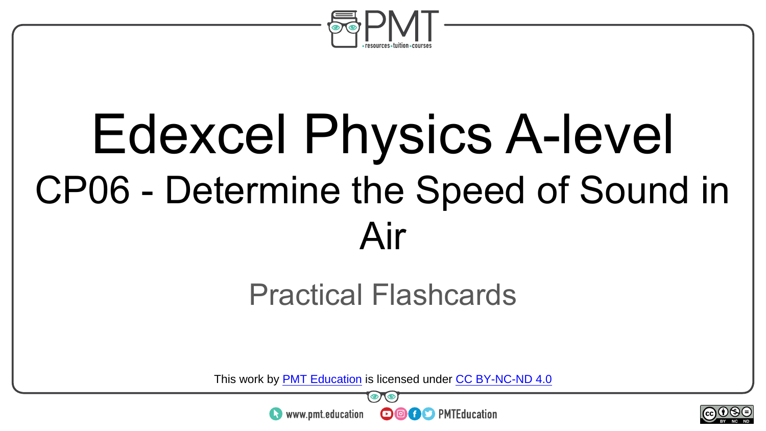

# Edexcel Physics A-level CP06 - Determine the Speed of Sound in Air

#### Practical Flashcards

This work by <u>PMT Education</u> is licensed under CC BY-NC-ND 4.0<br>
www.pmt.education **in the CO CO** PMTEducation



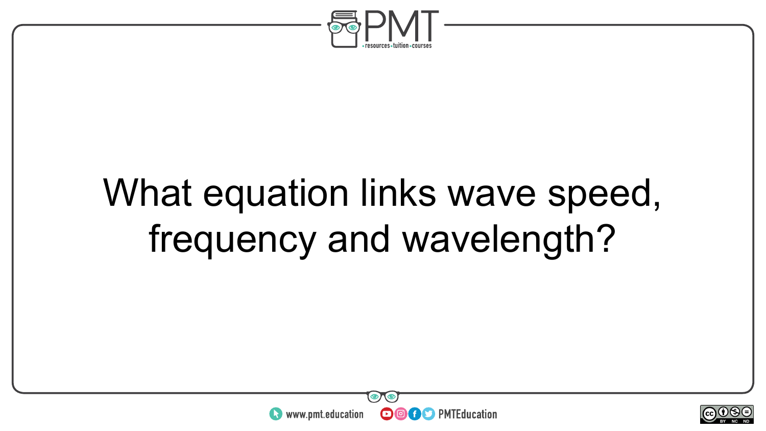

## What equation links wave speed, frequency and wavelength?



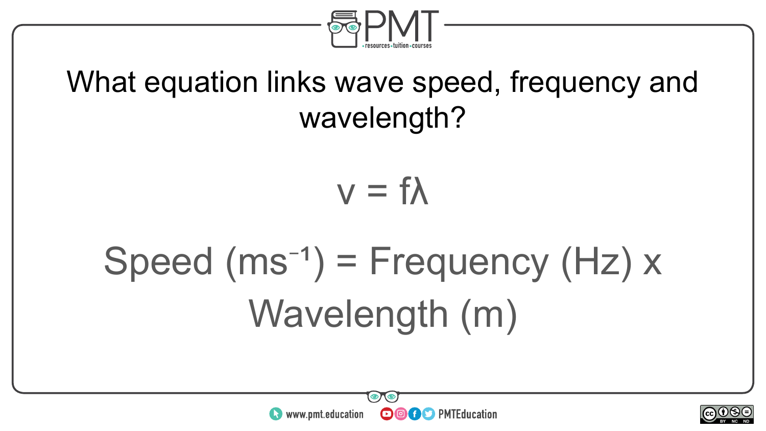

#### What equation links wave speed, frequency and wavelength?



# Speed  $(ms^{-1})$  = Frequency  $(Hz)$  x Wavelength (m)



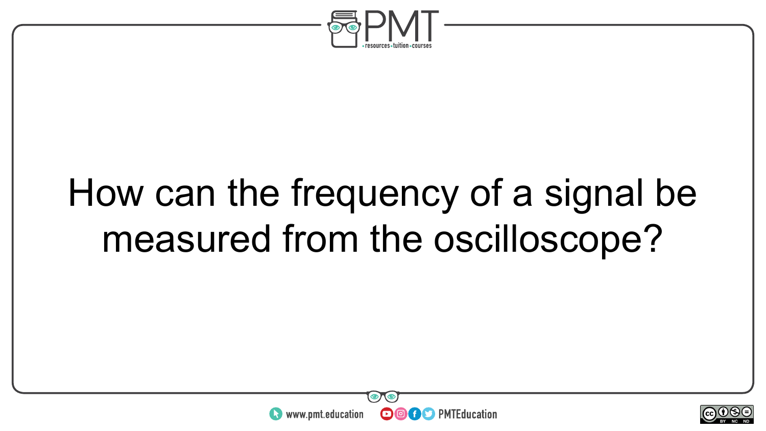

### How can the frequency of a signal be measured from the oscilloscope?



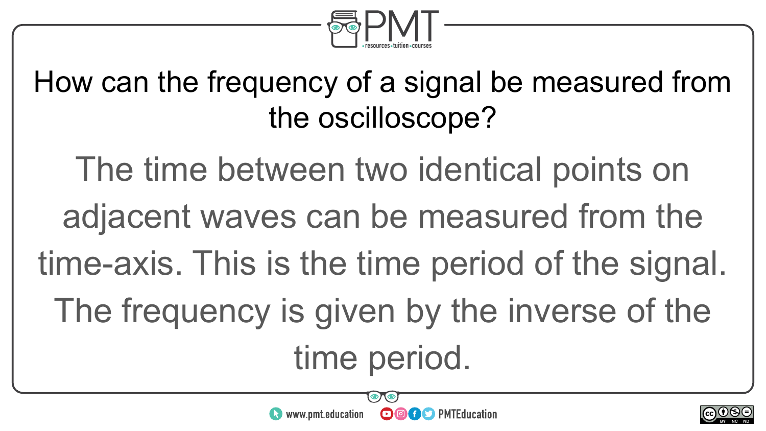

### How can the frequency of a signal be measured from the oscilloscope?

The time between two identical points on adjacent waves can be measured from the time-axis. This is the time period of the signal. The frequency is given by the inverse of the time period.



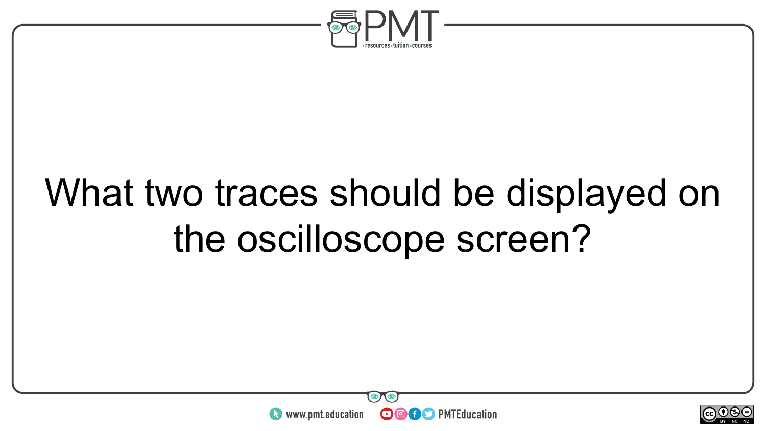

## What two traces should be displayed on the oscilloscope screen?



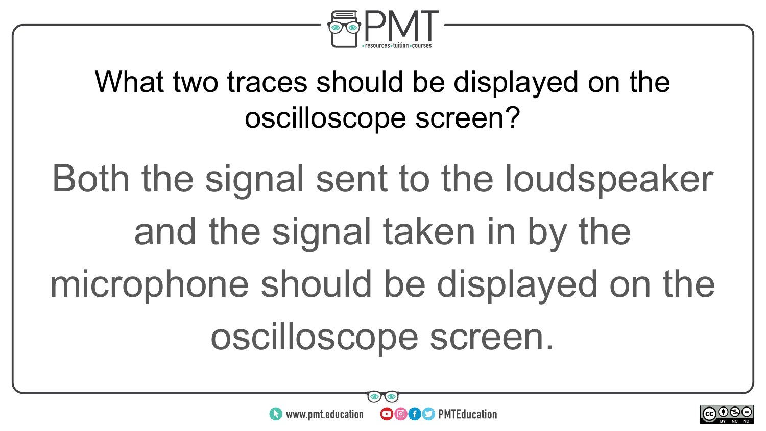

#### What two traces should be displayed on the oscilloscope screen?

Both the signal sent to the loudspeaker and the signal taken in by the microphone should be displayed on the oscilloscope screen.



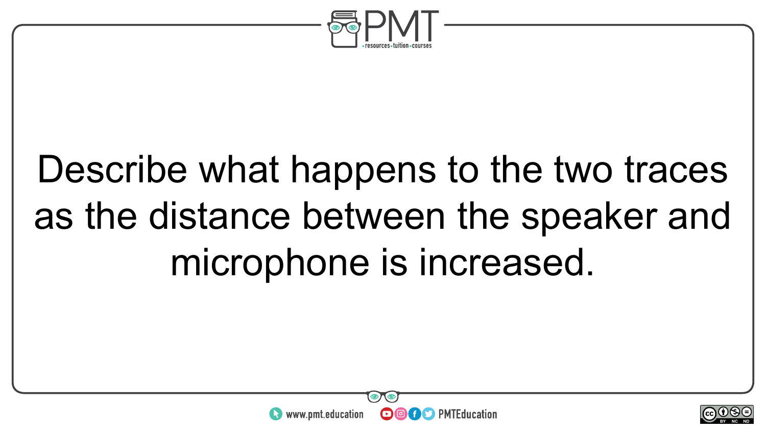

# Describe what happens to the two traces as the distance between the speaker and microphone is increased.



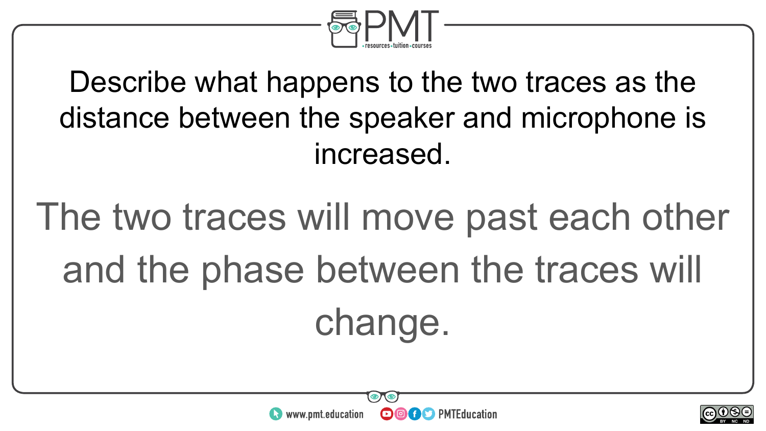

### Describe what happens to the two traces as the distance between the speaker and microphone is increased.

# The two traces will move past each other and the phase between the traces will change.



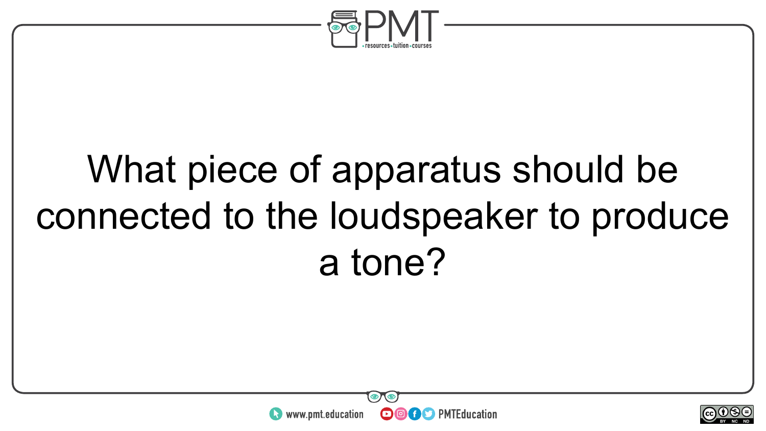

# What piece of apparatus should be connected to the loudspeaker to produce a tone?



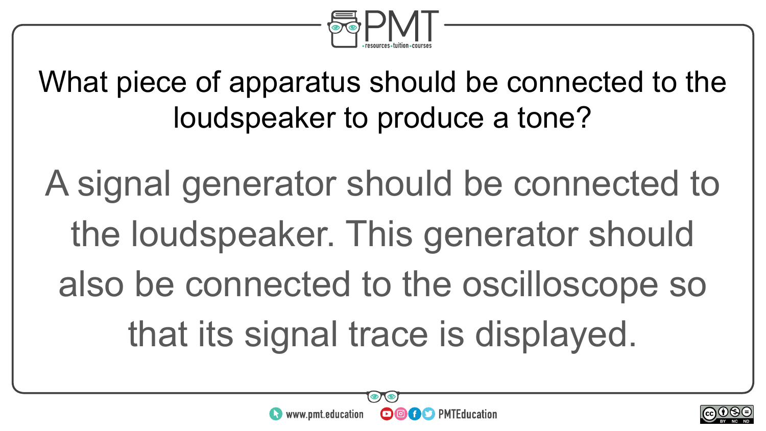

What piece of apparatus should be connected to the loudspeaker to produce a tone?

A signal generator should be connected to the loudspeaker. This generator should also be connected to the oscilloscope so that its signal trace is displayed.



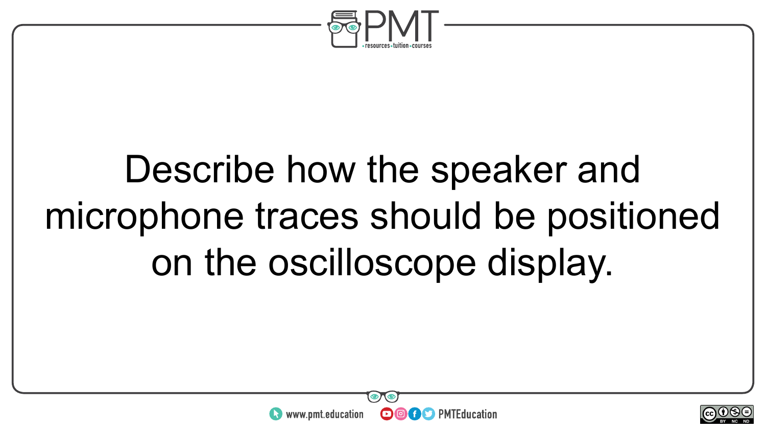

# Describe how the speaker and microphone traces should be positioned on the oscilloscope display.



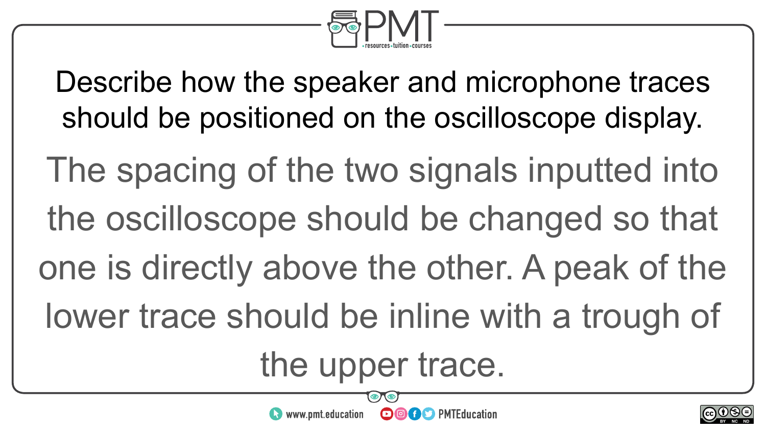

Describe how the speaker and microphone traces should be positioned on the oscilloscope display.

The spacing of the two signals inputted into the oscilloscope should be changed so that one is directly above the other. A peak of the lower trace should be inline with a trough of

the upper trace.

**OOOO** PMTEducation

 $\bullet$  www.pmt.education

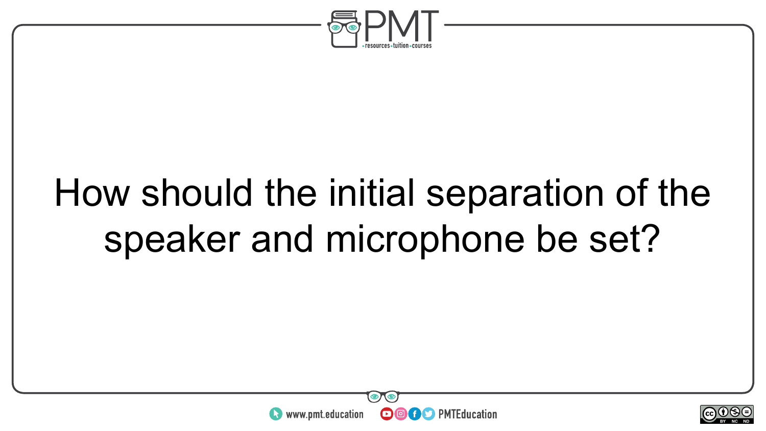

### How should the initial separation of the speaker and microphone be set?



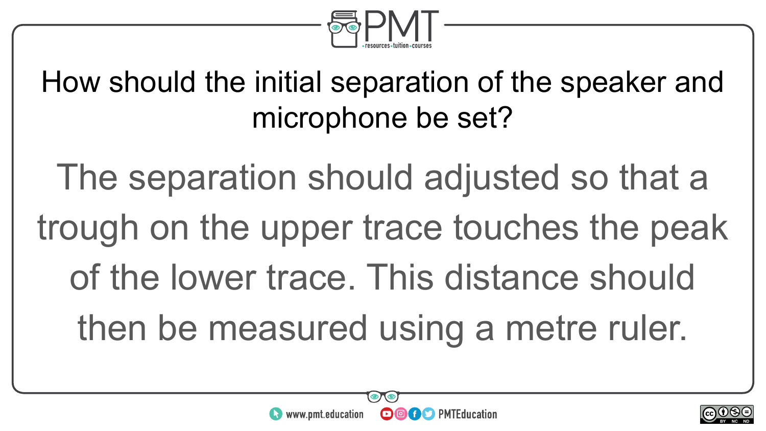

How should the initial separation of the speaker and microphone be set?

The separation should adjusted so that a trough on the upper trace touches the peak of the lower trace. This distance should then be measured using a metre ruler.



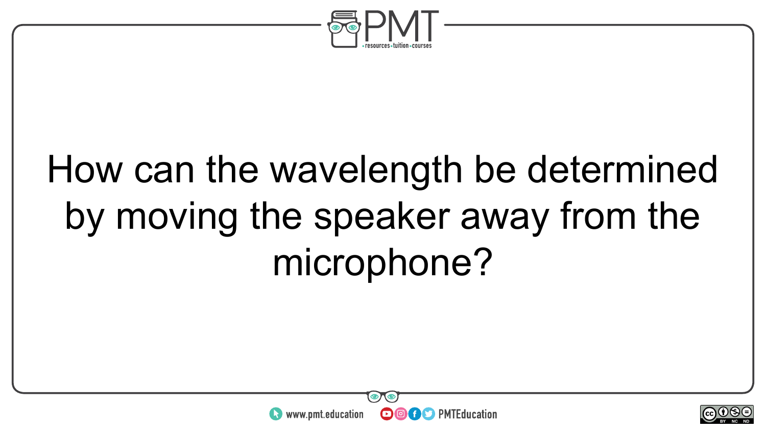

# How can the wavelength be determined by moving the speaker away from the microphone?



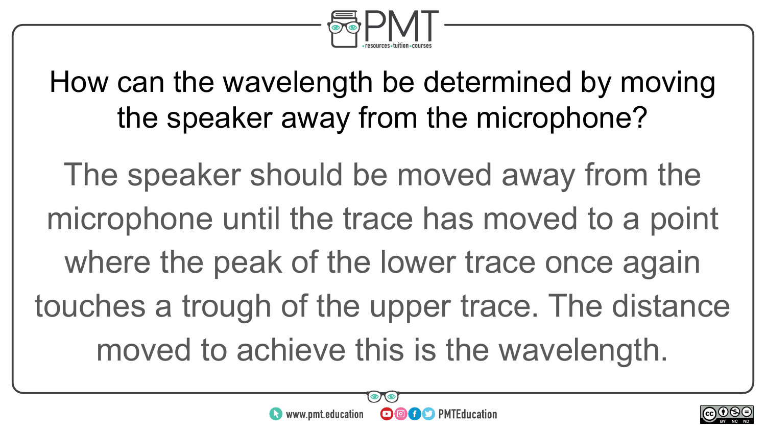

How can the wavelength be determined by moving the speaker away from the microphone?

The speaker should be moved away from the microphone until the trace has moved to a point where the peak of the lower trace once again touches a trough of the upper trace. The distance moved to achieve this is the wavelength.



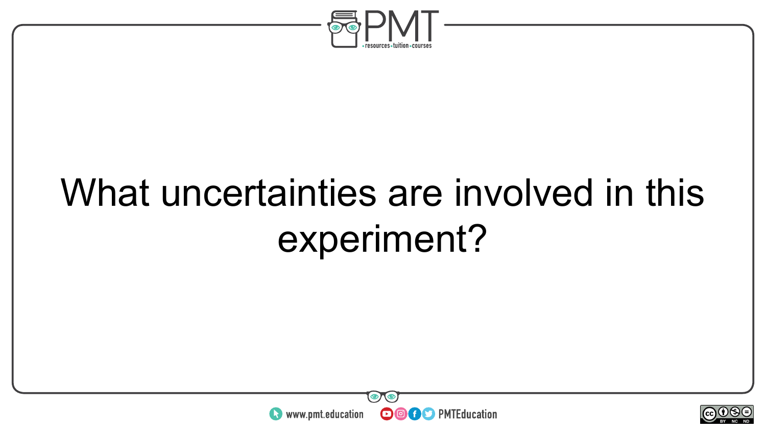

## What uncertainties are involved in this experiment?



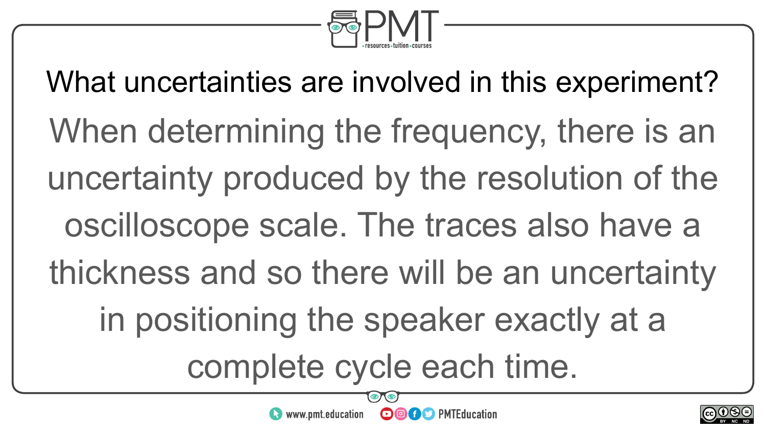

What uncertainties are involved in this experiment? When determining the frequency, there is an uncertainty produced by the resolution of the oscilloscope scale. The traces also have a thickness and so there will be an uncertainty in positioning the speaker exactly at a complete cycle each time.

**OOOO** PMTEducation



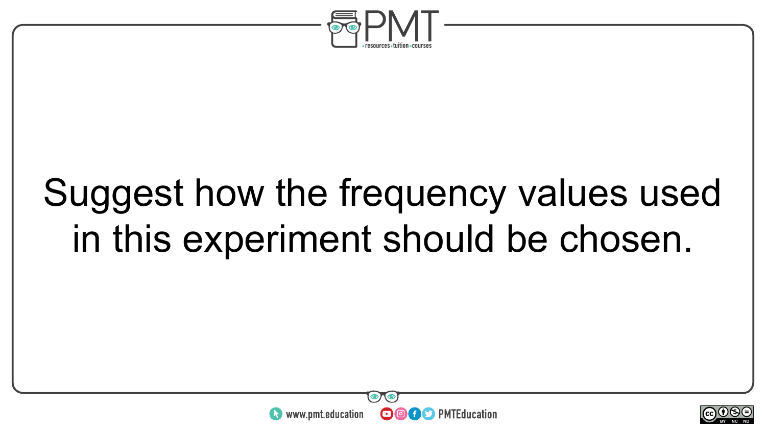

### Suggest how the frequency values used in this experiment should be chosen.



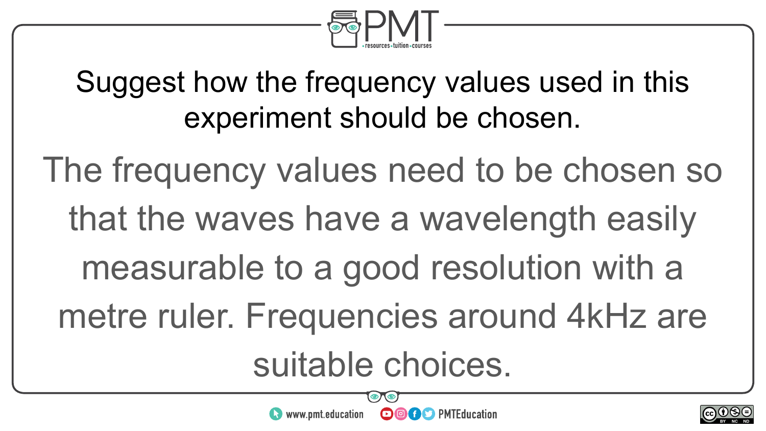

### Suggest how the frequency values used in this experiment should be chosen.

The frequency values need to be chosen so that the waves have a wavelength easily measurable to a good resolution with a metre ruler. Frequencies around 4kHz are suitable choices.

**OOOO** PMTEducation

 $\bullet$  www.pmt.education

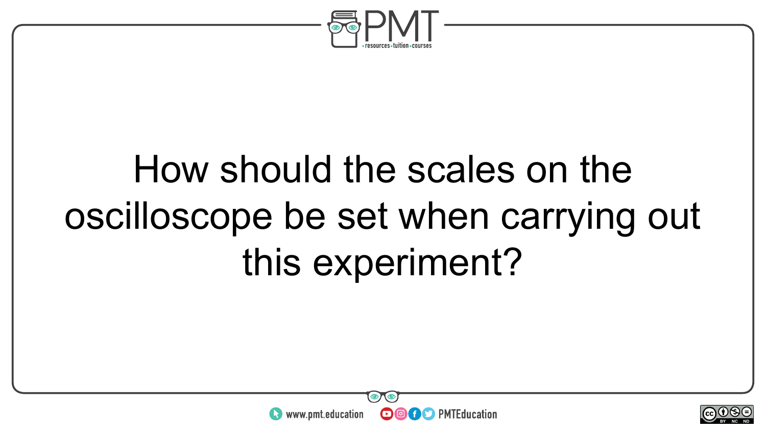

# How should the scales on the oscilloscope be set when carrying out this experiment?



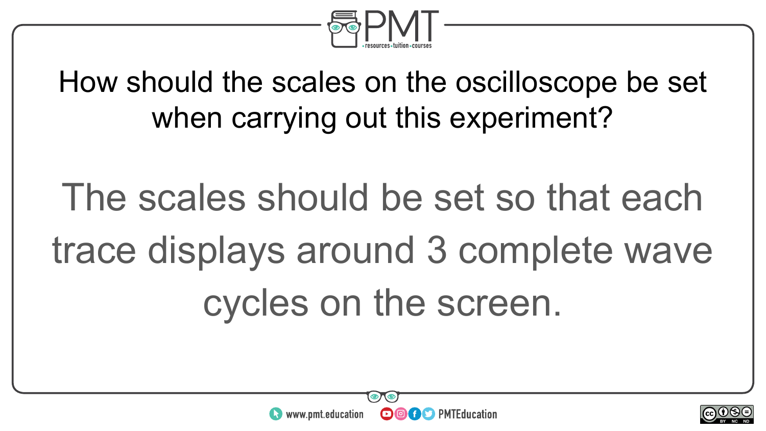

### How should the scales on the oscilloscope be set when carrying out this experiment?

# The scales should be set so that each trace displays around 3 complete wave cycles on the screen.



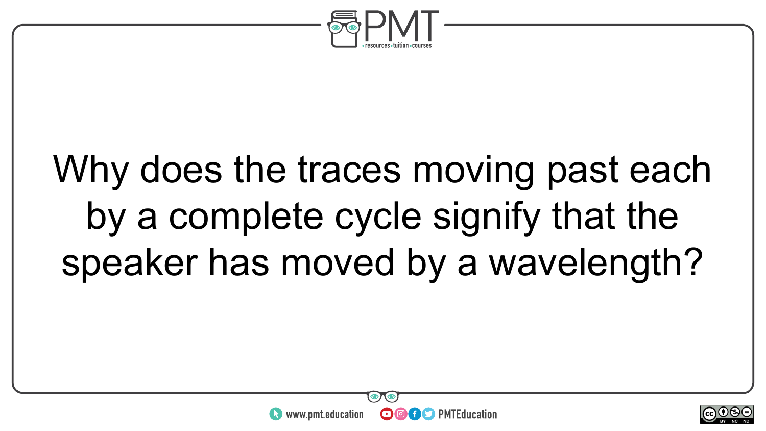

## Why does the traces moving past each by a complete cycle signify that the speaker has moved by a wavelength?



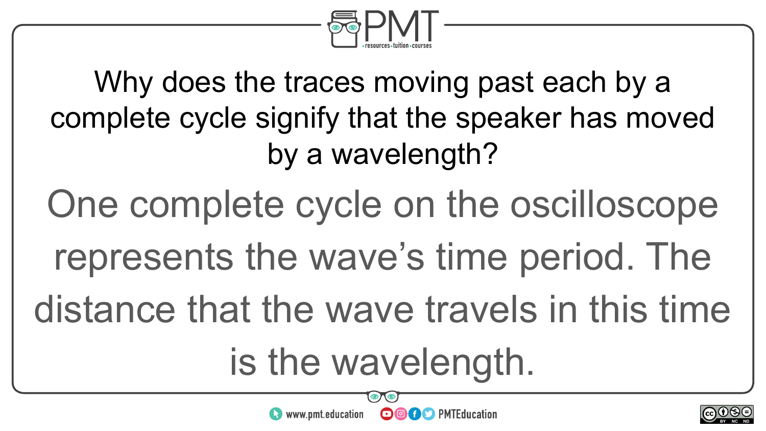

Why does the traces moving past each by a complete cycle signify that the speaker has moved by a wavelength? One complete cycle on the oscilloscope represents the wave's time period. The distance that the wave travels in this time is the wavelength.



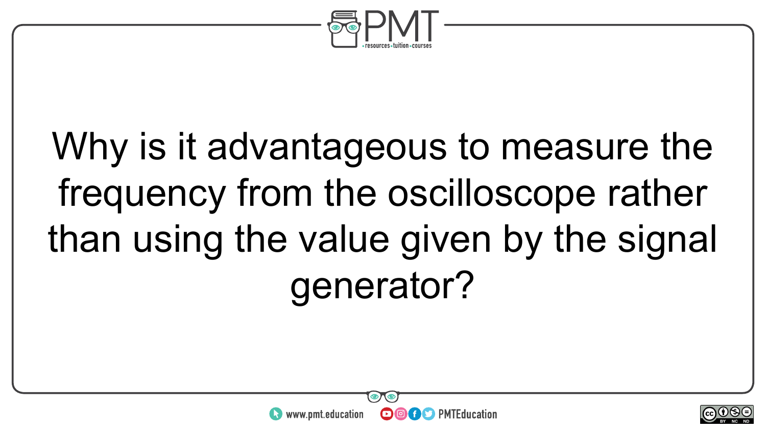

# Why is it advantageous to measure the frequency from the oscilloscope rather than using the value given by the signal generator?

**OOOO** PMTEducation